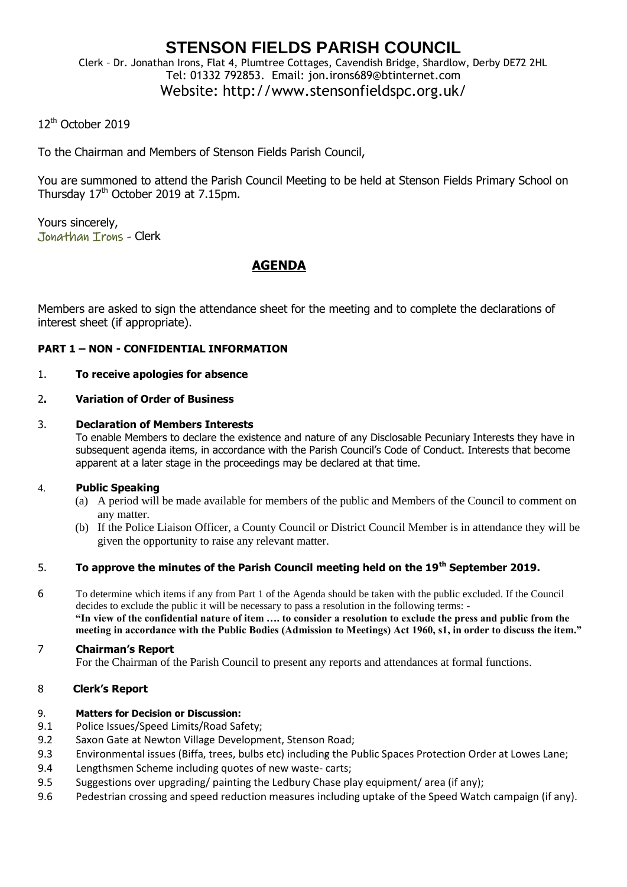### **STENSON FIELDS PARISH COUNCIL** Clerk – Dr. Jonathan Irons, Flat 4, Plumtree Cottages, Cavendish Bridge, Shardlow, Derby DE72 2HL Tel: 01332 792853. Email: jon.irons689@btinternet.com

# Website: http://www.stensonfieldspc.org.uk/

## 12<sup>th</sup> October 2019

To the Chairman and Members of Stenson Fields Parish Council,

You are summoned to attend the Parish Council Meeting to be held at Stenson Fields Primary School on Thursday  $17<sup>th</sup>$  October 2019 at 7.15pm.

Yours sincerely, Jonathan Irons - Clerk

## **AGENDA**

Members are asked to sign the attendance sheet for the meeting and to complete the declarations of interest sheet (if appropriate).

### **PART 1 – NON - CONFIDENTIAL INFORMATION**

#### 1. **To receive apologies for absence**

### 2**. Variation of Order of Business**

#### 3. **Declaration of Members Interests**

To enable Members to declare the existence and nature of any Disclosable Pecuniary Interests they have in subsequent agenda items, in accordance with the Parish Council's Code of Conduct. Interests that become apparent at a later stage in the proceedings may be declared at that time.

### 4. **Public Speaking**

- (a) A period will be made available for members of the public and Members of the Council to comment on any matter.
- (b) If the Police Liaison Officer, a County Council or District Council Member is in attendance they will be given the opportunity to raise any relevant matter.

# 5. **To approve the minutes of the Parish Council meeting held on the 19th September 2019.**

6 To determine which items if any from Part 1 of the Agenda should be taken with the public excluded. If the Council decides to exclude the public it will be necessary to pass a resolution in the following terms: - **"In view of the confidential nature of item …. to consider a resolution to exclude the press and public from the meeting in accordance with the Public Bodies (Admission to Meetings) Act 1960, s1, in order to discuss the item."** 

#### 7 **Chairman's Report**

For the Chairman of the Parish Council to present any reports and attendances at formal functions.

### 8 **Clerk's Report**

#### 9. **Matters for Decision or Discussion:**

- 9.1 Police Issues/Speed Limits/Road Safety;
- 9.2 Saxon Gate at Newton Village Development, Stenson Road;
- 9.3 Environmental issues (Biffa, trees, bulbs etc) including the Public Spaces Protection Order at Lowes Lane;
- 9.4 Lengthsmen Scheme including quotes of new waste- carts;
- 9.5 Suggestions over upgrading/ painting the Ledbury Chase play equipment/ area (if any);
- 9.6 Pedestrian crossing and speed reduction measures including uptake of the Speed Watch campaign (if any).